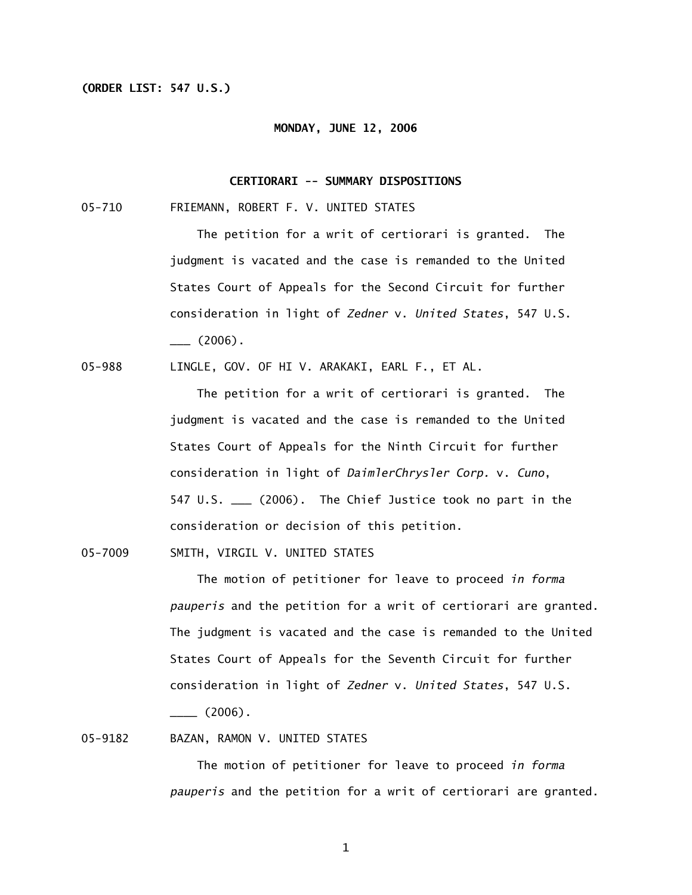# **(ORDER LIST: 547 U.S.)**

#### **MONDAY, JUNE 12, 2006**

## **CERTIORARI -- SUMMARY DISPOSITIONS**

05-710 FRIEMANN, ROBERT F. V. UNITED STATES

 The petition for a writ of certiorari is granted. The judgment is vacated and the case is remanded to the United States Court of Appeals for the Second Circuit for further consideration in light of *Zedner* v. *United States*, 547 U.S.  $\frac{1}{2006}$ .

05-988 LINGLE, GOV. OF HI V. ARAKAKI, EARL F., ET AL.

 The petition for a writ of certiorari is granted. The judgment is vacated and the case is remanded to the United States Court of Appeals for the Ninth Circuit for further consideration in light of *DaimlerChrysler Corp.* v. *Cuno*, 547 U.S. \_\_\_ (2006). The Chief Justice took no part in the consideration or decision of this petition.

05-7009 SMITH, VIRGIL V. UNITED STATES

 The motion of petitioner for leave to proceed *in forma pauperis* and the petition for a writ of certiorari are granted. The judgment is vacated and the case is remanded to the United States Court of Appeals for the Seventh Circuit for further consideration in light of *Zedner* v. *United States*, 547 U.S.  $\frac{1}{2}$  (2006).

05-9182 BAZAN, RAMON V. UNITED STATES

 The motion of petitioner for leave to proceed *in forma pauperis* and the petition for a writ of certiorari are granted.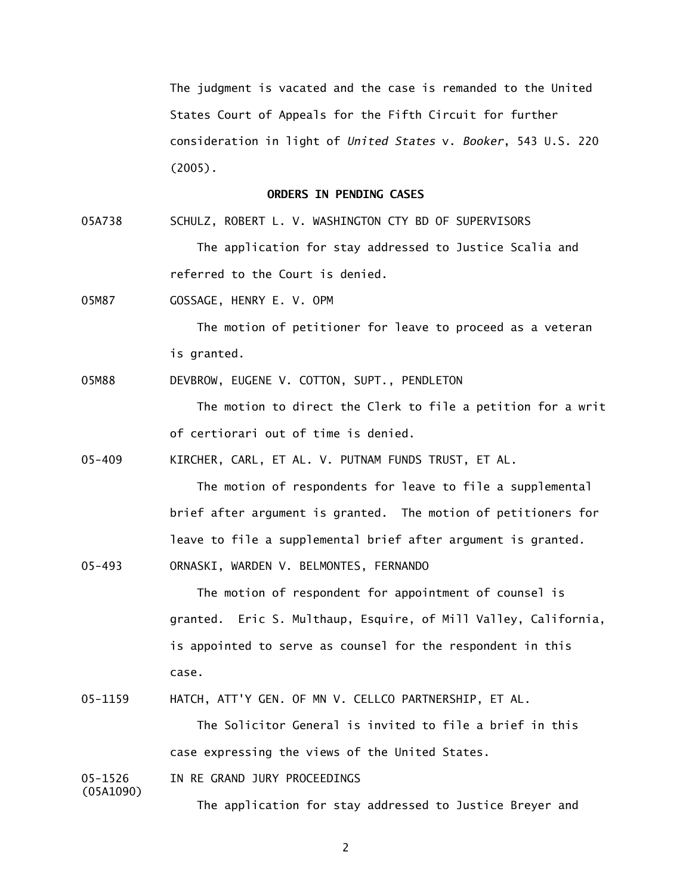The judgment is vacated and the case is remanded to the United States Court of Appeals for the Fifth Circuit for further consideration in light of *United States* v. *Booker*, 543 U.S. 220 (2005).

## **ORDERS IN PENDING CASES**

05A738 SCHULZ, ROBERT L. V. WASHINGTON CTY BD OF SUPERVISORS The application for stay addressed to Justice Scalia and referred to the Court is denied.

05M87 GOSSAGE, HENRY E. V. OPM

 The motion of petitioner for leave to proceed as a veteran is granted.

05M88 DEVBROW, EUGENE V. COTTON, SUPT., PENDLETON

The motion to direct the Clerk to file a petition for a writ of certiorari out of time is denied.

05-409 KIRCHER, CARL, ET AL. V. PUTNAM FUNDS TRUST, ET AL.

The motion of respondents for leave to file a supplemental brief after argument is granted. The motion of petitioners for leave to file a supplemental brief after argument is granted.

05-493 ORNASKI, WARDEN V. BELMONTES, FERNANDO

 The motion of respondent for appointment of counsel is granted. Eric S. Multhaup, Esquire, of Mill Valley, California, is appointed to serve as counsel for the respondent in this case.

05-1159 HATCH, ATT'Y GEN. OF MN V. CELLCO PARTNERSHIP, ET AL.

 The Solicitor General is invited to file a brief in this case expressing the views of the United States.

05-1526 IN RE GRAND JURY PROCEEDINGS

(05A1090)

The application for stay addressed to Justice Breyer and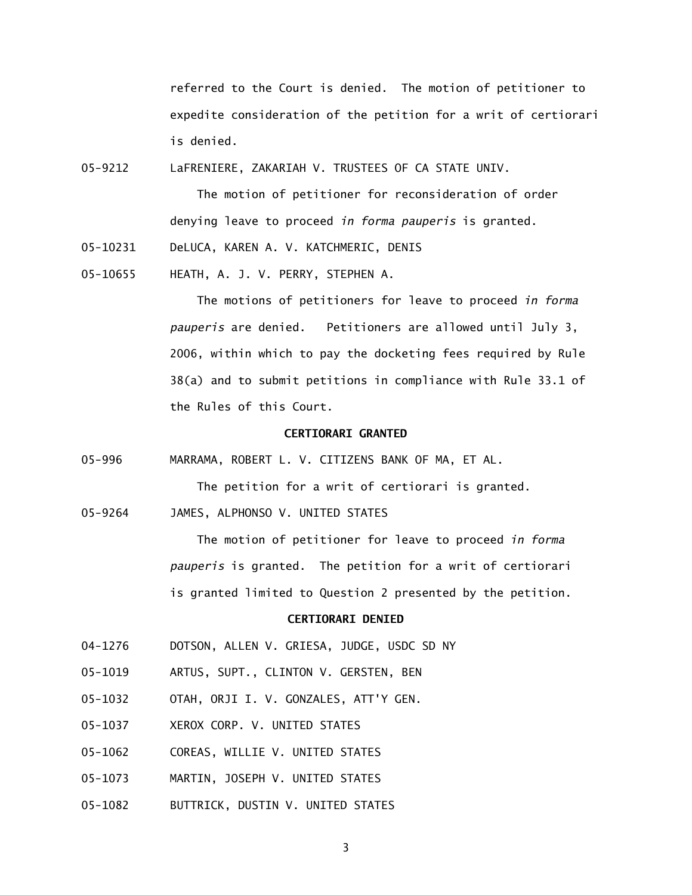referred to the Court is denied. The motion of petitioner to expedite consideration of the petition for a writ of certiorari is denied.

05-9212 LaFRENIERE, ZAKARIAH V. TRUSTEES OF CA STATE UNIV.

 The motion of petitioner for reconsideration of order denying leave to proceed *in forma pauperis* is granted.

- 05-10231 DeLUCA, KAREN A. V. KATCHMERIC, DENIS
- 05-10655 HEATH, A. J. V. PERRY, STEPHEN A.

 The motions of petitioners for leave to proceed *in forma pauperis* are denied. Petitioners are allowed until July 3, 2006, within which to pay the docketing fees required by Rule 38(a) and to submit petitions in compliance with Rule 33.1 of the Rules of this Court.

### **CERTIORARI GRANTED**

05-996 MARRAMA, ROBERT L. V. CITIZENS BANK OF MA, ET AL.

The petition for a writ of certiorari is granted.

05-9264 JAMES, ALPHONSO V. UNITED STATES

 The motion of petitioner for leave to proceed *in forma pauperis* is granted. The petition for a writ of certiorari is granted limited to Question 2 presented by the petition.

# **CERTIORARI DENIED**

- 04-1276 DOTSON, ALLEN V. GRIESA, JUDGE, USDC SD NY
- 05-1019 ARTUS, SUPT., CLINTON V. GERSTEN, BEN
- 05-1032 OTAH, ORJI I. V. GONZALES, ATT'Y GEN.
- 05-1037 XEROX CORP. V. UNITED STATES
- 05-1062 COREAS, WILLIE V. UNITED STATES
- 05-1073 MARTIN, JOSEPH V. UNITED STATES
- 05-1082 BUTTRICK, DUSTIN V. UNITED STATES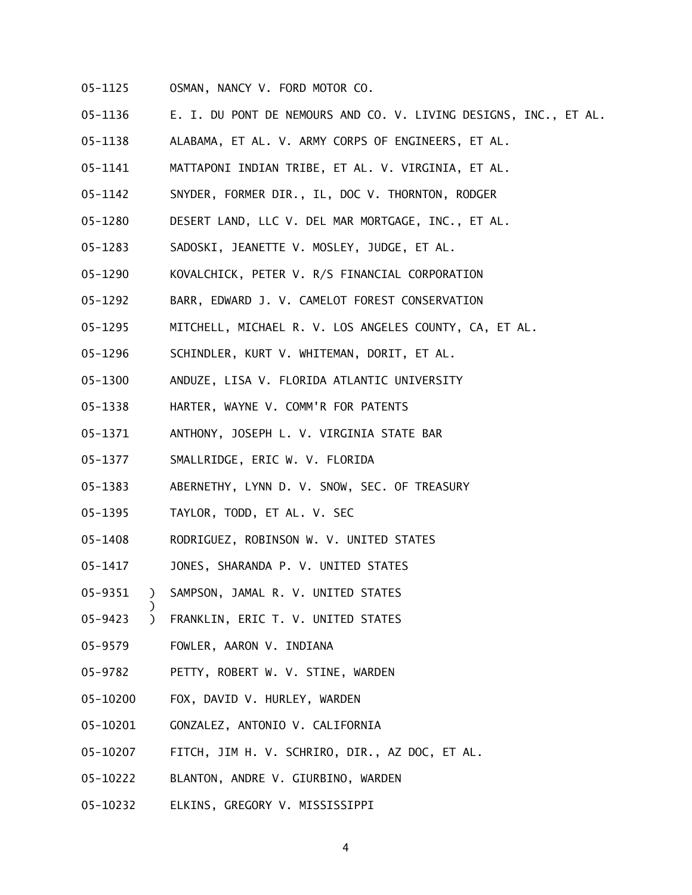- 05-1125 OSMAN, NANCY V. FORD MOTOR CO.
- 05-1136 E. I. DU PONT DE NEMOURS AND CO. V. LIVING DESIGNS, INC., ET AL.
- 05-1138 ALABAMA, ET AL. V. ARMY CORPS OF ENGINEERS, ET AL.
- 05-1141 MATTAPONI INDIAN TRIBE, ET AL. V. VIRGINIA, ET AL.
- 05-1142 SNYDER, FORMER DIR., IL, DOC V. THORNTON, RODGER
- 05-1280 DESERT LAND, LLC V. DEL MAR MORTGAGE, INC., ET AL.
- 05-1283 SADOSKI, JEANETTE V. MOSLEY, JUDGE, ET AL.
- 05-1290 KOVALCHICK, PETER V. R/S FINANCIAL CORPORATION
- 05-1292 BARR, EDWARD J. V. CAMELOT FOREST CONSERVATION
- 05-1295 MITCHELL, MICHAEL R. V. LOS ANGELES COUNTY, CA, ET AL.
- 05-1296 SCHINDLER, KURT V. WHITEMAN, DORIT, ET AL.
- 05-1300 ANDUZE, LISA V. FLORIDA ATLANTIC UNIVERSITY
- 05-1338 HARTER, WAYNE V. COMM'R FOR PATENTS
- 05-1371 ANTHONY, JOSEPH L. V. VIRGINIA STATE BAR
- 05-1377 SMALLRIDGE, ERIC W. V. FLORIDA
- 05-1383 ABERNETHY, LYNN D. V. SNOW, SEC. OF TREASURY
- 05-1395 TAYLOR, TODD, ET AL. V. SEC
- 05-1408 RODRIGUEZ, ROBINSON W. V. UNITED STATES
- 05-1417 JONES, SHARANDA P. V. UNITED STATES
- 05-9351 ) SAMPSON, JAMAL R. V. UNITED STATES
- 05-9423 ) FRANKLIN, ERIC T. V. UNITED STATES
- 05-9579 FOWLER, AARON V. INDIANA

)

- 05-9782 PETTY, ROBERT W. V. STINE, WARDEN
- 05-10200 FOX, DAVID V. HURLEY, WARDEN
- 05-10201 GONZALEZ, ANTONIO V. CALIFORNIA
- 05-10207 FITCH, JIM H. V. SCHRIRO, DIR., AZ DOC, ET AL.
- 05-10222 BLANTON, ANDRE V. GIURBINO, WARDEN
- 05-10232 ELKINS, GREGORY V. MISSISSIPPI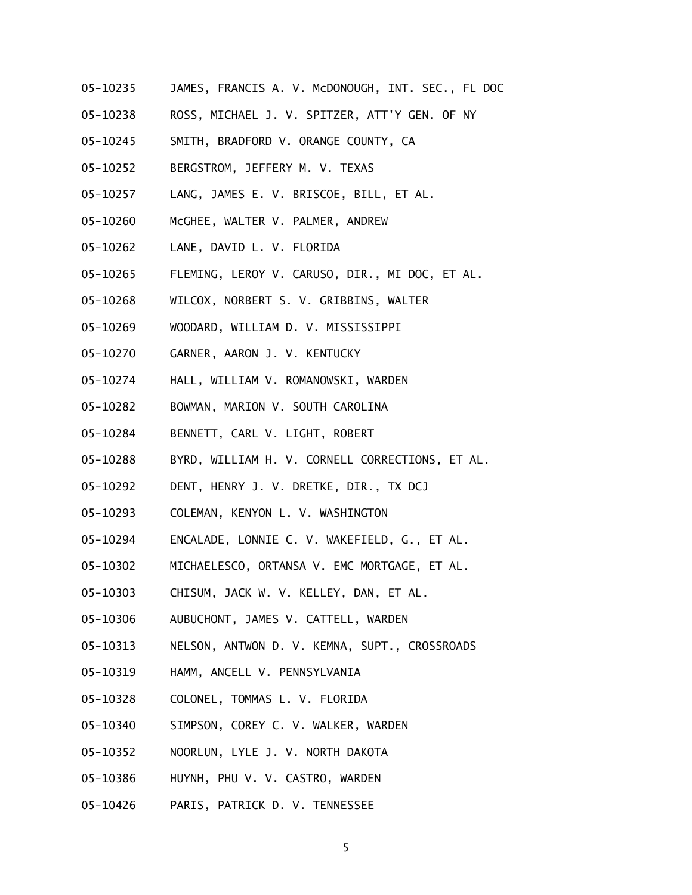- 05-10235 JAMES, FRANCIS A. V. McDONOUGH, INT. SEC., FL DOC
- 05-10238 ROSS, MICHAEL J. V. SPITZER, ATT'Y GEN. OF NY
- 05-10245 SMITH, BRADFORD V. ORANGE COUNTY, CA
- 05-10252 BERGSTROM, JEFFERY M. V. TEXAS
- 05-10257 LANG, JAMES E. V. BRISCOE, BILL, ET AL.
- 05-10260 McGHEE, WALTER V. PALMER, ANDREW
- 05-10262 LANE, DAVID L. V. FLORIDA
- 05-10265 FLEMING, LEROY V. CARUSO, DIR., MI DOC, ET AL.
- 05-10268 WILCOX, NORBERT S. V. GRIBBINS, WALTER
- 05-10269 WOODARD, WILLIAM D. V. MISSISSIPPI
- 05-10270 GARNER, AARON J. V. KENTUCKY
- 05-10274 HALL, WILLIAM V. ROMANOWSKI, WARDEN
- 05-10282 BOWMAN, MARION V. SOUTH CAROLINA
- 05-10284 BENNETT, CARL V. LIGHT, ROBERT
- 05-10288 BYRD, WILLIAM H. V. CORNELL CORRECTIONS, ET AL.
- 05-10292 DENT, HENRY J. V. DRETKE, DIR., TX DCJ
- 05-10293 COLEMAN, KENYON L. V. WASHINGTON
- 05-10294 ENCALADE, LONNIE C. V. WAKEFIELD, G., ET AL.
- 05-10302 MICHAELESCO, ORTANSA V. EMC MORTGAGE, ET AL.
- 05-10303 CHISUM, JACK W. V. KELLEY, DAN, ET AL.
- 05-10306 AUBUCHONT, JAMES V. CATTELL, WARDEN
- 05-10313 NELSON, ANTWON D. V. KEMNA, SUPT., CROSSROADS
- 05-10319 HAMM, ANCELL V. PENNSYLVANIA
- 05-10328 COLONEL, TOMMAS L. V. FLORIDA
- 05-10340 SIMPSON, COREY C. V. WALKER, WARDEN
- 05-10352 NOORLUN, LYLE J. V. NORTH DAKOTA
- 05-10386 HUYNH, PHU V. V. CASTRO, WARDEN
- 05-10426 PARIS, PATRICK D. V. TENNESSEE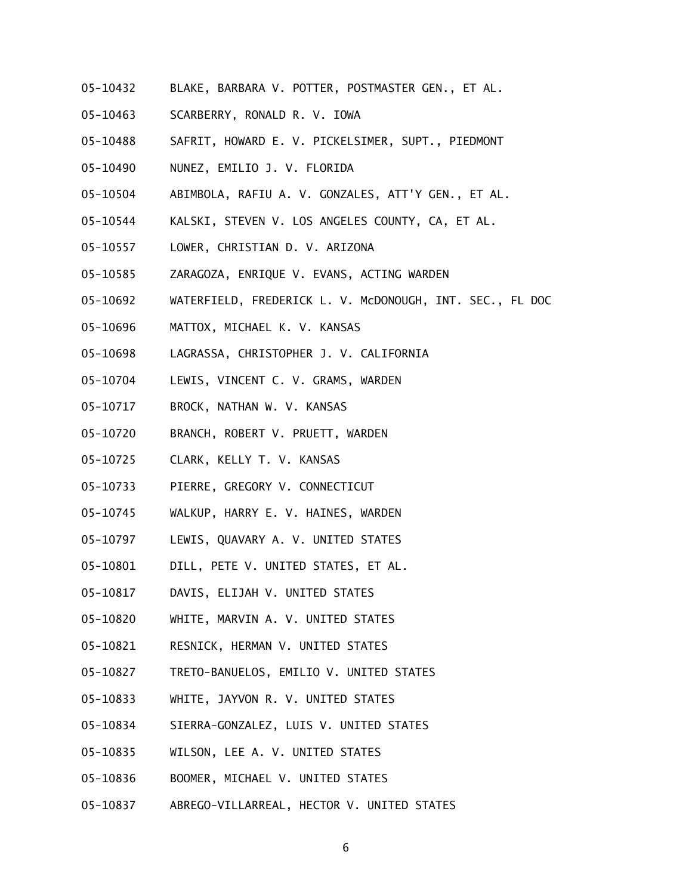- 05-10432 BLAKE, BARBARA V. POTTER, POSTMASTER GEN., ET AL.
- 05-10463 SCARBERRY, RONALD R. V. IOWA
- 05-10488 SAFRIT, HOWARD E. V. PICKELSIMER, SUPT., PIEDMONT
- 05-10490 NUNEZ, EMILIO J. V. FLORIDA
- 05-10504 ABIMBOLA, RAFIU A. V. GONZALES, ATT'Y GEN., ET AL.
- 05-10544 KALSKI, STEVEN V. LOS ANGELES COUNTY, CA, ET AL.
- 05-10557 LOWER, CHRISTIAN D. V. ARIZONA
- 05-10585 ZARAGOZA, ENRIQUE V. EVANS, ACTING WARDEN
- 05-10692 WATERFIELD, FREDERICK L. V. McDONOUGH, INT. SEC., FL DOC
- 05-10696 MATTOX, MICHAEL K. V. KANSAS
- 05-10698 LAGRASSA, CHRISTOPHER J. V. CALIFORNIA
- 05-10704 LEWIS, VINCENT C. V. GRAMS, WARDEN
- 05-10717 BROCK, NATHAN W. V. KANSAS
- 05-10720 BRANCH, ROBERT V. PRUETT, WARDEN
- 05-10725 CLARK, KELLY T. V. KANSAS
- 05-10733 PIERRE, GREGORY V. CONNECTICUT
- 05-10745 WALKUP, HARRY E. V. HAINES, WARDEN
- 05-10797 LEWIS, QUAVARY A. V. UNITED STATES
- 05-10801 DILL, PETE V. UNITED STATES, ET AL.
- 05-10817 DAVIS, ELIJAH V. UNITED STATES
- 05-10820 WHITE, MARVIN A. V. UNITED STATES
- 05-10821 RESNICK, HERMAN V. UNITED STATES
- 05-10827 TRETO-BANUELOS, EMILIO V. UNITED STATES
- 05-10833 WHITE, JAYVON R. V. UNITED STATES
- 05-10834 SIERRA-GONZALEZ, LUIS V. UNITED STATES
- 05-10835 WILSON, LEE A. V. UNITED STATES
- 05-10836 BOOMER, MICHAEL V. UNITED STATES
- 05-10837 ABREGO-VILLARREAL, HECTOR V. UNITED STATES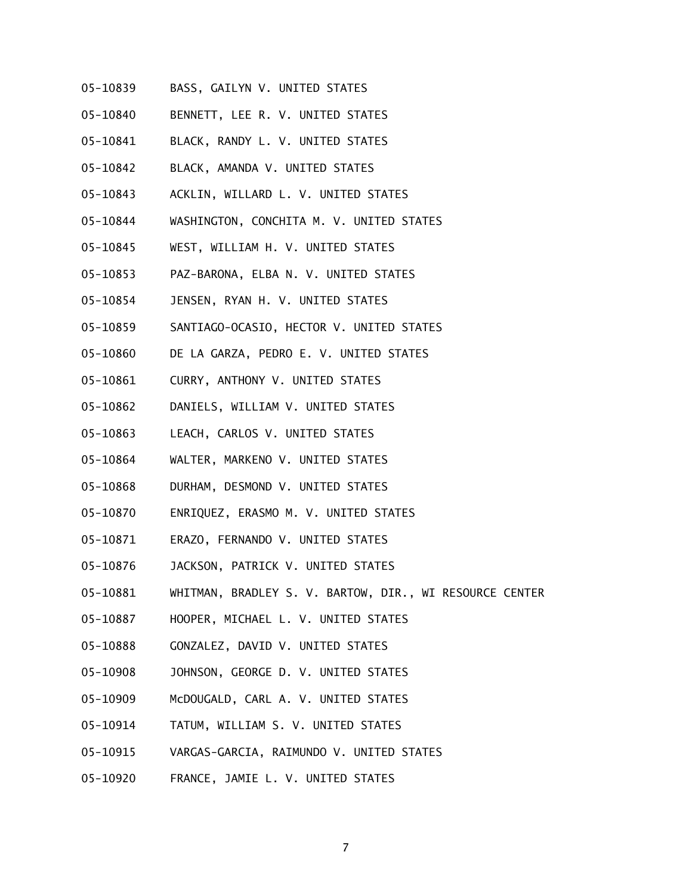- 05-10839 BASS, GAILYN V. UNITED STATES
- 05-10840 BENNETT, LEE R. V. UNITED STATES
- 05-10841 BLACK, RANDY L. V. UNITED STATES
- 05-10842 BLACK, AMANDA V. UNITED STATES
- 05-10843 ACKLIN, WILLARD L. V. UNITED STATES
- 05-10844 WASHINGTON, CONCHITA M. V. UNITED STATES
- 05-10845 WEST, WILLIAM H. V. UNITED STATES
- 05-10853 PAZ-BARONA, ELBA N. V. UNITED STATES
- 05-10854 JENSEN, RYAN H. V. UNITED STATES
- 05-10859 SANTIAGO-OCASIO, HECTOR V. UNITED STATES
- 05-10860 DE LA GARZA, PEDRO E. V. UNITED STATES
- 05-10861 CURRY, ANTHONY V. UNITED STATES
- 05-10862 DANIELS, WILLIAM V. UNITED STATES
- 05-10863 LEACH, CARLOS V. UNITED STATES
- 05-10864 WALTER, MARKENO V. UNITED STATES
- 05-10868 DURHAM, DESMOND V. UNITED STATES
- 05-10870 ENRIQUEZ, ERASMO M. V. UNITED STATES
- 05-10871 ERAZO, FERNANDO V. UNITED STATES
- 05-10876 JACKSON, PATRICK V. UNITED STATES
- 05-10881 WHITMAN, BRADLEY S. V. BARTOW, DIR., WI RESOURCE CENTER
- 05-10887 HOOPER, MICHAEL L. V. UNITED STATES
- 05-10888 GONZALEZ, DAVID V. UNITED STATES
- 05-10908 JOHNSON, GEORGE D. V. UNITED STATES
- 05-10909 McDOUGALD, CARL A. V. UNITED STATES
- 05-10914 TATUM, WILLIAM S. V. UNITED STATES
- 05-10915 VARGAS-GARCIA, RAIMUNDO V. UNITED STATES
- 05-10920 FRANCE, JAMIE L. V. UNITED STATES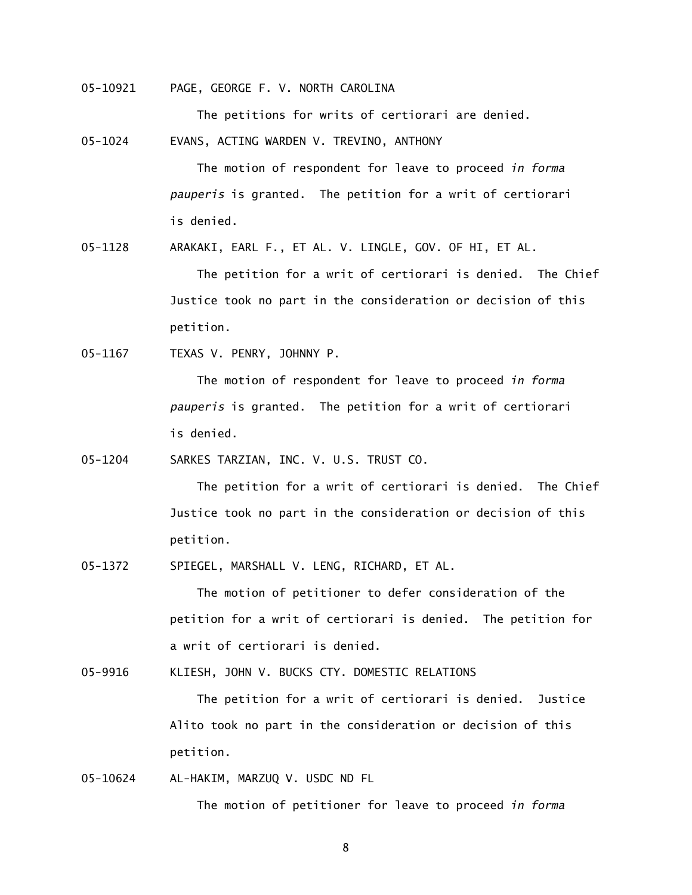05-10921 PAGE, GEORGE F. V. NORTH CAROLINA

The petitions for writs of certiorari are denied.

05-1024 EVANS, ACTING WARDEN V. TREVINO, ANTHONY

 The motion of respondent for leave to proceed *in forma pauperis* is granted. The petition for a writ of certiorari is denied.

05-1128 ARAKAKI, EARL F., ET AL. V. LINGLE, GOV. OF HI, ET AL.

 The petition for a writ of certiorari is denied. The Chief Justice took no part in the consideration or decision of this petition.

05-1167 TEXAS V. PENRY, JOHNNY P.

 The motion of respondent for leave to proceed *in forma pauperis* is granted. The petition for a writ of certiorari is denied.

05-1204 SARKES TARZIAN, INC. V. U.S. TRUST CO.

 The petition for a writ of certiorari is denied. The Chief Justice took no part in the consideration or decision of this petition.

05-1372 SPIEGEL, MARSHALL V. LENG, RICHARD, ET AL.

The motion of petitioner to defer consideration of the petition for a writ of certiorari is denied. The petition for a writ of certiorari is denied.

05-9916 KLIESH, JOHN V. BUCKS CTY. DOMESTIC RELATIONS

 The petition for a writ of certiorari is denied. Justice Alito took no part in the consideration or decision of this petition.

05-10624 AL-HAKIM, MARZUQ V. USDC ND FL

The motion of petitioner for leave to proceed *in forma*